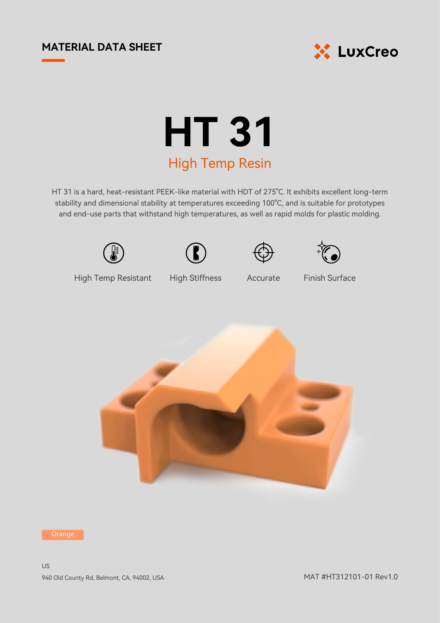## **MATERIAL DATA SHEET**



## **HT 31** High Temp Resin

HT 31 is a hard, heat-resistant PEEK-like material with HDT of 275°C. It exhibits excellent long-term stability and dimensional stability at temperatures exceeding 100°C, and is suitable for prototypes and end-use parts that withstand high temperatures, as well as rapid molds for plastic molding.









High Temp Resistant High Stiffness Accurate

Finish Surface



Orange